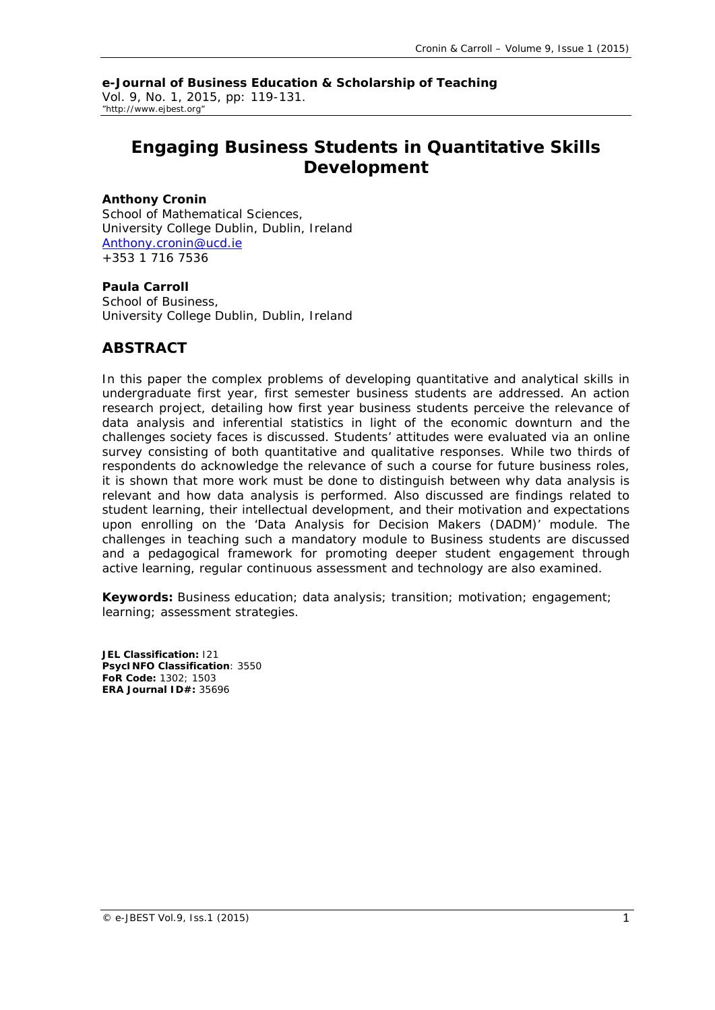**e-Journal of Business Education & Scholarship of Teaching** Vol. 9, No. 1, 2015, pp: 119-131. "http://www.ejbest.org"

# **Engaging Business Students in Quantitative Skills Development**

#### **Anthony Cronin**

School of Mathematical Sciences, University College Dublin, Dublin, Ireland [Anthony.cronin@ucd.ie](mailto:Anthony.cronin@ucd.ie) +353 1 716 7536

#### **Paula Carroll**

School of Business, University College Dublin, Dublin, Ireland

## **ABSTRACT**

In this paper the complex problems of developing quantitative and analytical skills in *undergraduate first year, first semester business students are addressed. An action research project, detailing how first year business students perceive the relevance of data analysis and inferential statistics in light of the economic downturn and the challenges society faces is discussed. Students' attitudes were evaluated via an online survey consisting of both quantitative and qualitative responses. While two thirds of respondents do acknowledge the relevance of such a course for future business roles, it is shown that more work must be done to distinguish between why data analysis is relevant and how data analysis is performed. Also discussed are findings related to student learning, their intellectual development, and their motivation and expectations upon enrolling on the 'Data Analysis for Decision Makers (DADM)' module. The challenges in teaching such a mandatory module to Business students are discussed and a pedagogical framework for promoting deeper student engagement through active learning, regular continuous assessment and technology are also examined.*

**Keywords:** Business education; data analysis; transition; motivation; engagement; learning; assessment strategies.

**JEL Classification:** I21 **PsycINFO Classification**: 3550 **FoR Code:** 1302; 1503 **ERA Journal ID#:** 35696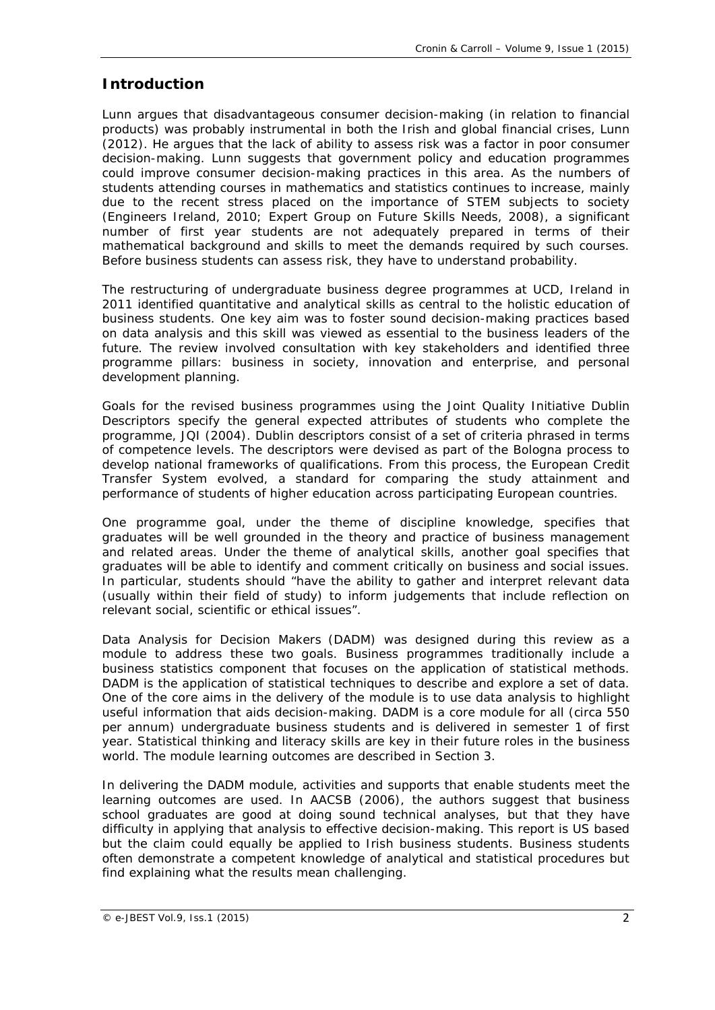## **Introduction**

Lunn argues that disadvantageous consumer decision-making (in relation to financial products) was probably instrumental in both the Irish and global financial crises, Lunn (2012). He argues that the lack of ability to assess risk was a factor in poor consumer decision-making. Lunn suggests that government policy and education programmes could improve consumer decision-making practices in this area. As the numbers of students attending courses in mathematics and statistics continues to increase, mainly due to the recent stress placed on the importance of STEM subjects to society (Engineers Ireland, 2010; Expert Group on Future Skills Needs, 2008), a significant number of first year students are not adequately prepared in terms of their mathematical background and skills to meet the demands required by such courses. Before business students can assess risk, they have to understand probability.

The restructuring of undergraduate business degree programmes at UCD, Ireland in 2011 identified quantitative and analytical skills as central to the holistic education of business students. One key aim was to foster sound decision-making practices based on data analysis and this skill was viewed as essential to the business leaders of the future. The review involved consultation with key stakeholders and identified three programme pillars: business in society, innovation and enterprise, and personal development planning.

Goals for the revised business programmes using the Joint Quality Initiative Dublin Descriptors specify the general expected attributes of students who complete the programme, JQI (2004). Dublin descriptors consist of a set of criteria phrased in terms of competence levels. The descriptors were devised as part of the Bologna process to develop national frameworks of qualifications. From this process, the European Credit Transfer System evolved, a standard for comparing the study attainment and performance of students of higher education across participating European countries.

One programme goal, under the theme of discipline knowledge, specifies that graduates will be well grounded in the theory and practice of business management and related areas. Under the theme of *analytical skills*, another goal specifies that graduates will be able to identify and comment critically on business and social issues. In particular, students should "have the ability to gather and interpret relevant data (usually within their field of study) to inform judgements that include reflection on relevant social, scientific or ethical issues".

*Data Analysis for Decision Makers* (DADM) was designed during this review as a module to address these two goals. Business programmes traditionally include a business statistics component that focuses on the application of statistical methods. DADM is the application of statistical techniques to describe and explore a set of data. One of the core aims in the delivery of the module is to use data analysis to highlight useful information that aids decision-making. DADM is a core module for all (circa 550 per annum) undergraduate business students and is delivered in semester 1 of first year. Statistical thinking and literacy skills are key in their future roles in the business world. The module learning outcomes are described in Section 3.

In delivering the DADM module, activities and supports that enable students meet the learning outcomes are used. In AACSB (2006), the authors suggest that business school graduates are good at doing sound technical analyses, but that they have difficulty in applying that analysis to effective decision-making. This report is US based but the claim could equally be applied to Irish business students. Business students often demonstrate a competent knowledge of analytical and statistical procedures but find explaining what the results mean challenging.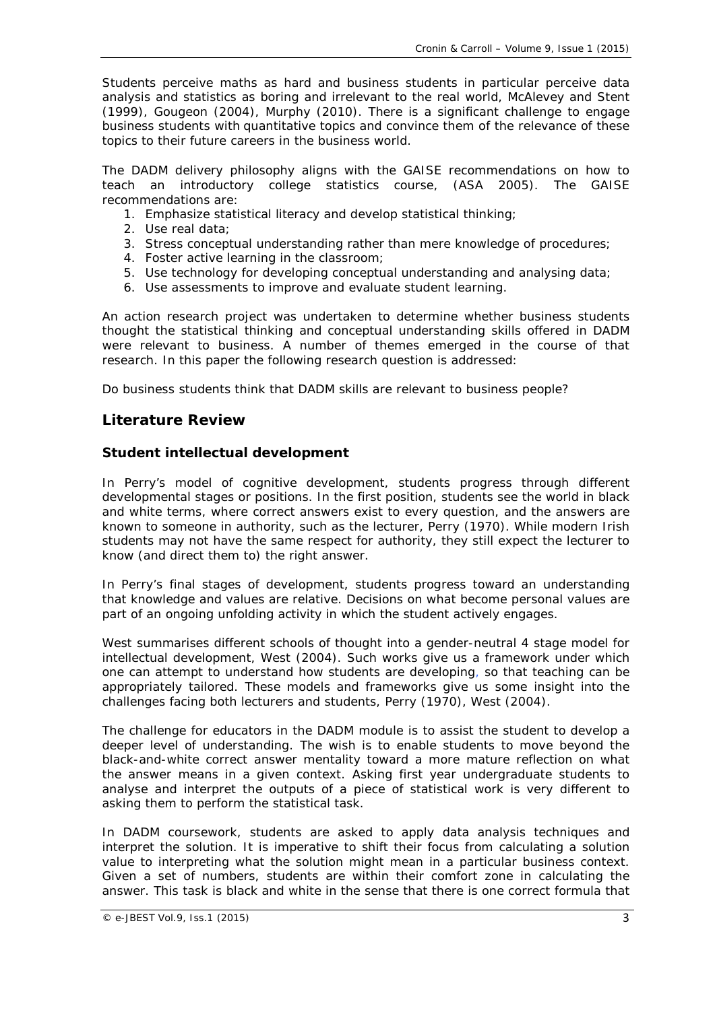Students perceive maths as hard and business students in particular perceive data analysis and statistics as boring and irrelevant to the real world, McAlevey and Stent (1999), Gougeon (2004), Murphy (2010). There is a significant challenge to engage business students with quantitative topics and convince them of the relevance of these topics to their future careers in the business world.

The DADM delivery philosophy aligns with the GAISE recommendations on how to teach an introductory college statistics course, (ASA 2005). The GAISE recommendations are:

- 1. Emphasize statistical literacy and develop statistical thinking;
- 2. Use real data;
- 3. Stress conceptual understanding rather than mere knowledge of procedures;
- 4. Foster active learning in the classroom;
- 5. Use technology for developing conceptual understanding and analysing data;
- 6. Use assessments to improve and evaluate student learning.

An action research project was undertaken to determine whether business students thought the statistical thinking and conceptual understanding skills offered in DADM were relevant to business. A number of themes emerged in the course of that research. In this paper the following research question is addressed:

*Do business students think that DADM skills are relevant to business people?*

## **Literature Review**

## *Student intellectual development*

In Perry's model of cognitive development, students progress through different developmental stages or positions. In the first position, students see the world in black and white terms, where correct answers exist to every question, and the answers are known to someone in authority, such as the lecturer, Perry (1970). While modern Irish students may not have the same respect for authority, they still expect the lecturer to know (and direct them to) the right answer.

In Perry's final stages of development, students progress toward an understanding that knowledge and values are relative. Decisions on what become personal values are part of an ongoing unfolding activity in which the student actively engages.

West summarises different schools of thought into a gender-neutral 4 stage model for intellectual development, West (2004). Such works give us a framework under which one can attempt to understand how students are developing, so that teaching can be appropriately tailored. These models and frameworks give us some insight into the challenges facing both lecturers and students, Perry (1970), West (2004).

The challenge for educators in the DADM module is to assist the student to develop a deeper level of understanding. The wish is to enable students to move beyond the black-and-white correct answer mentality toward a more mature reflection on what the answer means in a given context. Asking first year undergraduate students to analyse and interpret the outputs of a piece of statistical work is very different to asking them to perform the statistical task.

In DADM coursework, students are asked to apply data analysis techniques and interpret the solution. It is imperative to shift their focus from calculating a solution value to interpreting what the solution might mean in a particular business context. Given a set of numbers, students are within their comfort zone in calculating the answer. This task is black and white in the sense that there is one correct formula that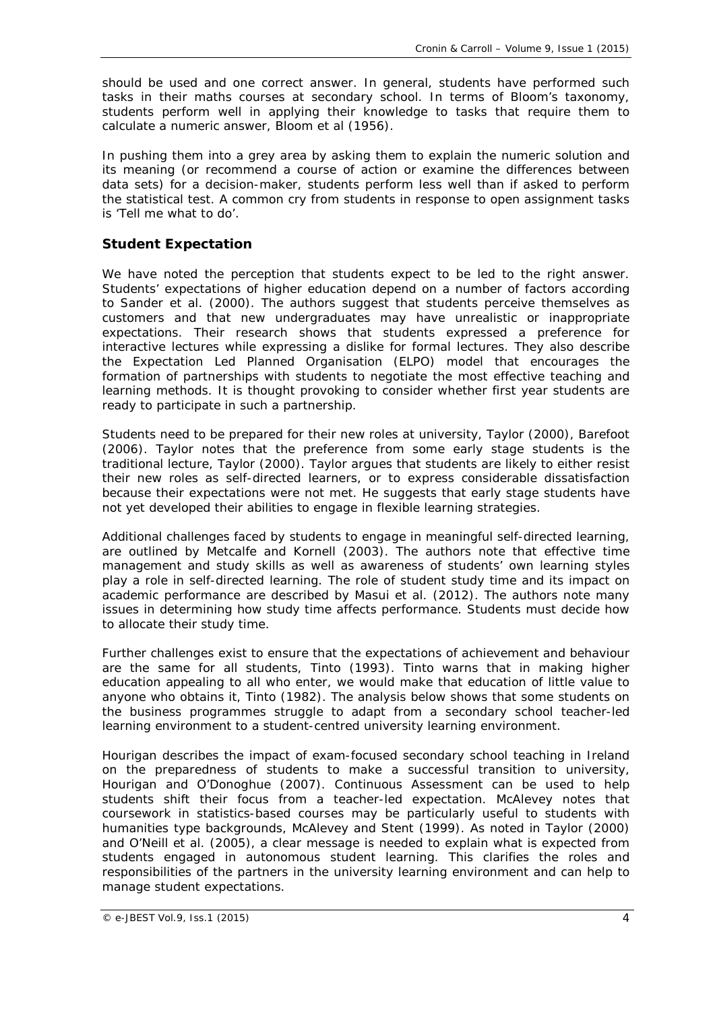should be used and one correct answer. In general, students have performed such tasks in their maths courses at secondary school. In terms of Bloom's taxonomy, students perform well in applying their knowledge to tasks that require them to calculate a numeric answer, Bloom et al (1956).

In pushing them into a grey area by asking them to explain the numeric solution and its meaning (or recommend a course of action or examine the differences between data sets) for a decision-maker, students perform less well than if asked to perform the statistical test. A common cry from students in response to open assignment tasks is '*Tell me what to do*'.

## *Student Expectation*

We have noted the perception that students expect to be led to the right answer. Students' expectations of higher education depend on a number of factors according to Sander et al. (2000). The authors suggest that students perceive themselves as customers and that new undergraduates may have unrealistic or inappropriate expectations. Their research shows that students expressed a preference for interactive lectures while expressing a dislike for formal lectures. They also describe the Expectation Led Planned Organisation (ELPO) model that encourages the formation of partnerships with students to negotiate the most effective teaching and learning methods. It is thought provoking to consider whether first year students are ready to participate in such a partnership.

Students need to be prepared for their new roles at university, Taylor (2000), Barefoot (2006). Taylor notes that the preference from some early stage students is the traditional lecture, Taylor (2000). Taylor argues that students are likely to either resist their new roles as self-directed learners, or to express considerable dissatisfaction because their expectations were not met. He suggests that early stage students have not yet developed their abilities to engage in flexible learning strategies.

Additional challenges faced by students to engage in meaningful self-directed learning, are outlined by Metcalfe and Kornell (2003). The authors note that effective time management and study skills as well as awareness of students' own learning styles play a role in self-directed learning. The role of student study time and its impact on academic performance are described by Masui et al. (2012). The authors note many issues in determining how study time affects performance. Students must decide how to allocate their study time.

Further challenges exist to ensure that the expectations of achievement and behaviour are the same for all students, Tinto (1993). Tinto warns that in making higher education appealing to all who enter, we would make that education of little value to anyone who obtains it, Tinto (1982). The analysis below shows that some students on the business programmes struggle to adapt from a secondary school teacher-led learning environment to a student-centred university learning environment.

Hourigan describes the impact of exam-focused secondary school teaching in Ireland on the preparedness of students to make a successful transition to university, Hourigan and O'Donoghue (2007). Continuous Assessment can be used to help students shift their focus from a teacher-led expectation. McAlevey notes that coursework in statistics-based courses may be particularly useful to students with humanities type backgrounds, McAlevey and Stent (1999). As noted in Taylor (2000) and O'Neill et al. (2005), a clear message is needed to explain what is expected from students engaged in autonomous student learning. This clarifies the roles and responsibilities of the partners in the university learning environment and can help to manage student expectations.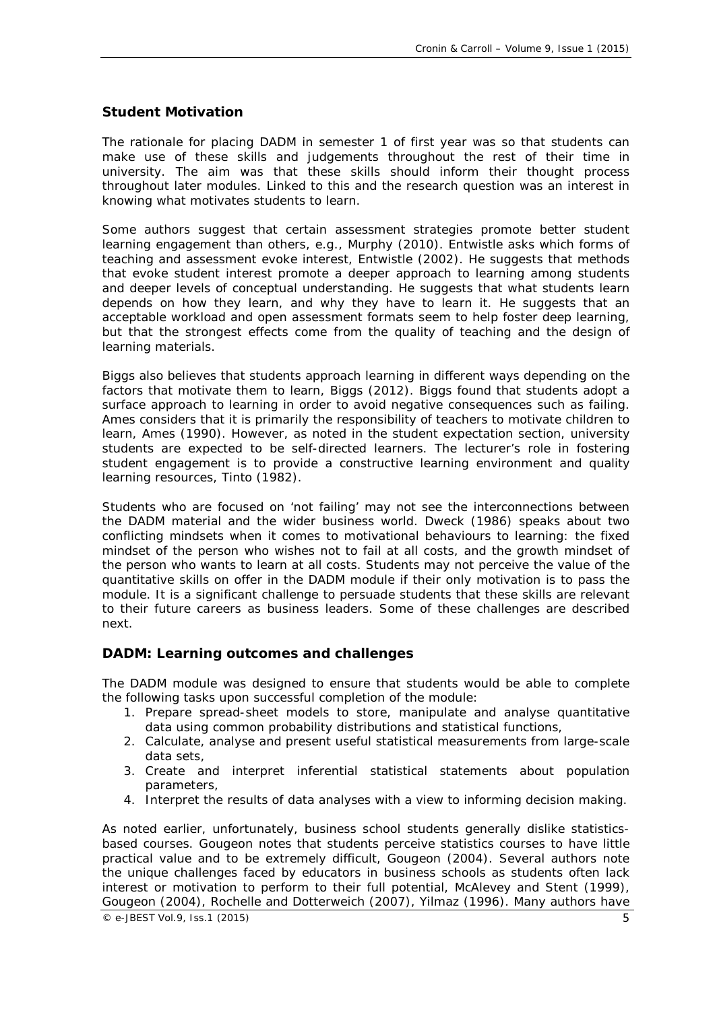#### *Student Motivation*

The rationale for placing DADM in semester 1 of first year was so that students can make use of these skills and judgements throughout the rest of their time in university. The aim was that these skills should inform their thought process throughout later modules. Linked to this and the research question was an interest in knowing what motivates students to learn.

Some authors suggest that certain assessment strategies promote better student learning engagement than others, e.g., Murphy (2010). Entwistle asks which forms of teaching and assessment evoke interest, Entwistle (2002). He suggests that methods that evoke student interest promote a deeper approach to learning among students and deeper levels of conceptual understanding. He suggests that what students learn depends on how they learn, and why they have to learn it. He suggests that an acceptable workload and open assessment formats seem to help foster deep learning, but that the strongest effects come from the quality of teaching and the design of learning materials.

Biggs also believes that students approach learning in different ways depending on the factors that motivate them to learn, Biggs (2012). Biggs found that students adopt a surface approach to learning in order to avoid negative consequences such as failing. Ames considers that it is primarily the responsibility of teachers to motivate children to learn, Ames (1990). However, as noted in the *student expectation* section, university students are expected to be self-directed learners. The lecturer's role in fostering student engagement is to provide a constructive learning environment and quality learning resources, Tinto (1982).

Students who are focused on *'not failing'* may not see the interconnections between the DADM material and the wider business world. Dweck (1986) speaks about two conflicting mindsets when it comes to motivational behaviours to learning: the *fixed mindset* of the person who wishes not to fail at all costs, and the *growth mindset* of the person who wants to learn at all costs. Students may not perceive the value of the quantitative skills on offer in the DADM module if their only motivation is to pass the module. It is a significant challenge to persuade students that these skills are relevant to their future careers as business leaders. Some of these challenges are described next.

#### *DADM: Learning outcomes and challenges*

The DADM module was designed to ensure that students would be able to complete the following tasks upon successful completion of the module:

- 1. Prepare spread-sheet models to store, manipulate and analyse quantitative data using common probability distributions and statistical functions,
- 2. Calculate, analyse and present useful statistical measurements from large-scale data sets,
- 3. Create and interpret inferential statistical statements about population parameters,
- 4. Interpret the results of data analyses with a view to informing decision making.

As noted earlier, unfortunately, business school students generally dislike statisticsbased courses. Gougeon notes that students perceive statistics courses to have little practical value and to be extremely difficult, Gougeon (2004). Several authors note the unique challenges faced by educators in business schools as students often lack interest or motivation to perform to their full potential, McAlevey and Stent (1999), Gougeon (2004), Rochelle and Dotterweich (2007), Yilmaz (1996). Many authors have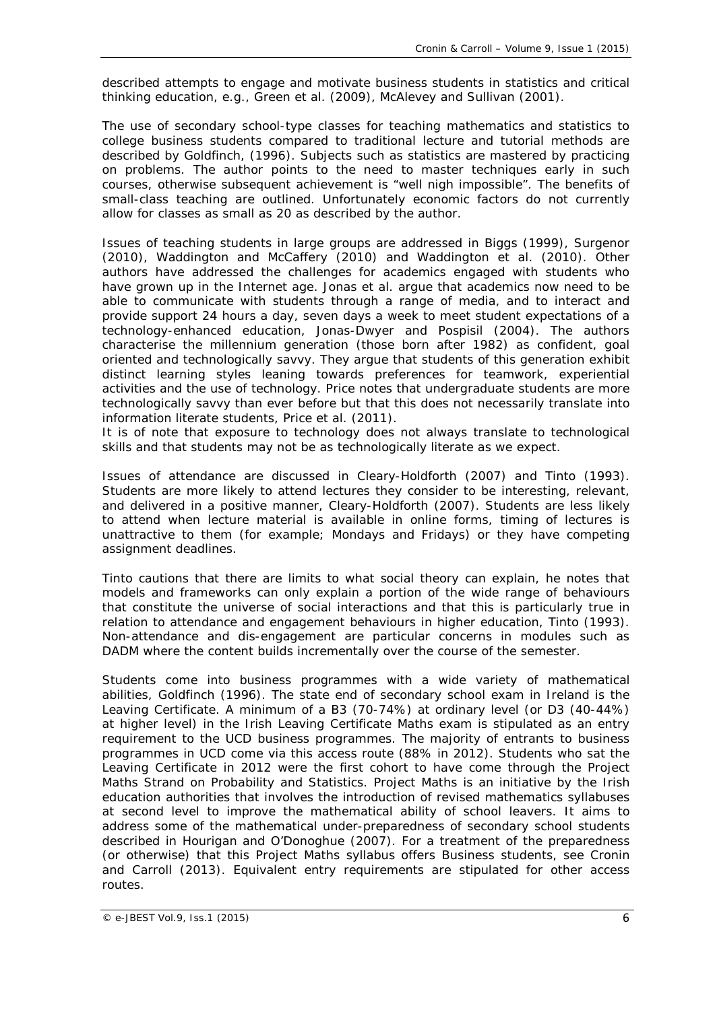described attempts to engage and motivate business students in statistics and critical thinking education, e.g., Green et al. (2009), McAlevey and Sullivan (2001).

The use of secondary school-type classes for teaching mathematics and statistics to college business students compared to traditional lecture and tutorial methods are described by Goldfinch, (1996). Subjects such as statistics are mastered by practicing on problems. The author points to the need to master techniques early in such courses, otherwise subsequent achievement is "well nigh impossible". The benefits of small-class teaching are outlined. Unfortunately economic factors do not currently allow for classes as small as 20 as described by the author.

Issues of teaching students in large groups are addressed in Biggs (1999), Surgenor (2010), Waddington and McCaffery (2010) and Waddington et al. (2010). Other authors have addressed the challenges for academics engaged with students who have grown up in the Internet age. Jonas et al. argue that academics now need to be able to communicate with students through a range of media, and to interact and provide support 24 hours a day, seven days a week to meet student expectations of a technology-enhanced education, Jonas-Dwyer and Pospisil (2004). The authors characterise the millennium generation (those born after 1982) as confident, goal oriented and technologically savvy. They argue that students of this generation exhibit distinct learning styles leaning towards preferences for teamwork, experiential activities and the use of technology. Price notes that undergraduate students are more technologically savvy than ever before but that this does not necessarily translate into information literate students, Price et al. (2011).

It is of note that exposure to technology does not always translate to technological skills and that students may not be as technologically literate as we expect.

Issues of attendance are discussed in Cleary-Holdforth (2007) and Tinto (1993). Students are more likely to attend lectures they consider to be interesting, relevant, and delivered in a positive manner, Cleary-Holdforth (2007). Students are less likely to attend when lecture material is available in online forms, timing of lectures is unattractive to them (for example; Mondays and Fridays) or they have competing assignment deadlines.

Tinto cautions that there are limits to what social theory can explain, he notes that models and frameworks can only explain a portion of the wide range of behaviours that constitute the universe of social interactions and that this is particularly true in relation to attendance and engagement behaviours in higher education, Tinto (1993). Non-attendance and dis-engagement are particular concerns in modules such as DADM where the content builds incrementally over the course of the semester.

Students come into business programmes with a wide variety of mathematical abilities, Goldfinch (1996). The state end of secondary school exam in Ireland is the Leaving Certificate. A minimum of a B3 (70-74%) at ordinary level (or D3 (40-44%) at higher level) in the Irish Leaving Certificate Maths exam is stipulated as an entry requirement to the UCD business programmes. The majority of entrants to business programmes in UCD come via this access route (88% in 2012). Students who sat the Leaving Certificate in 2012 were the first cohort to have come through the *Project Maths* Strand on Probability and Statistics. Project Maths is an initiative by the Irish education authorities that involves the introduction of revised mathematics syllabuses at second level to improve the mathematical ability of school leavers. It aims to address some of the mathematical under-preparedness of secondary school students described in Hourigan and O'Donoghue (2007). For a treatment of the preparedness (or otherwise) that this Project Maths syllabus offers Business students, see Cronin and Carroll (2013). Equivalent entry requirements are stipulated for other access routes.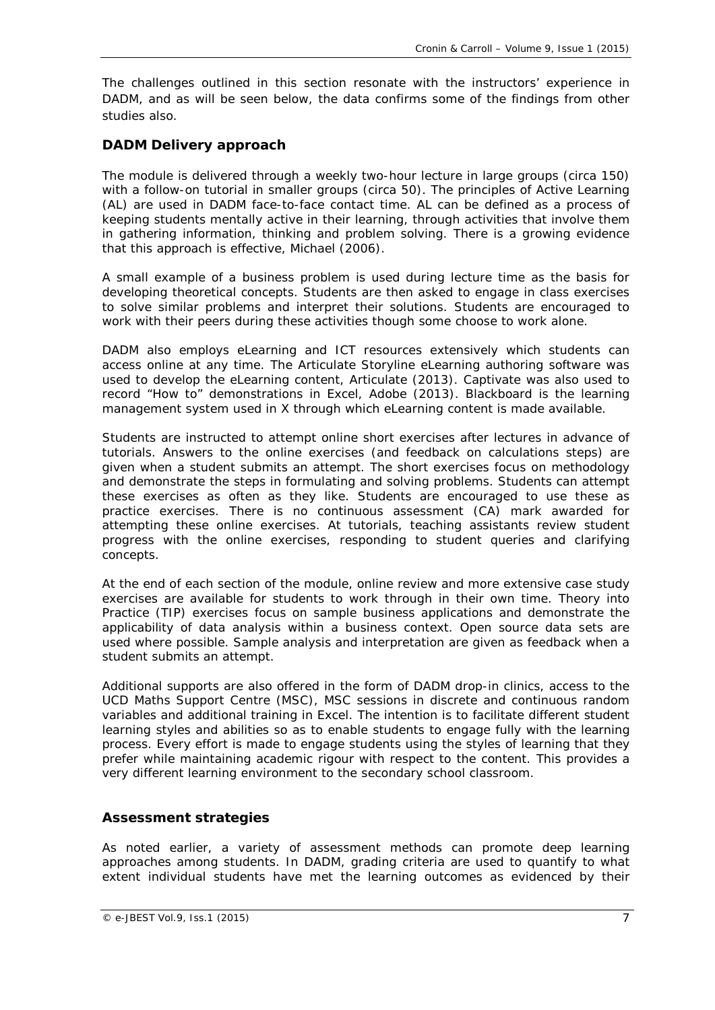The challenges outlined in this section resonate with the instructors' experience in DADM, and as will be seen below, the data confirms some of the findings from other studies also.

## *DADM Delivery approach*

The module is delivered through a weekly two-hour lecture in large groups (circa 150) with a follow-on tutorial in smaller groups (circa 50). The principles of *Active Learning*  (AL) are used in DADM face-to-face contact time. AL can be defined as a process of keeping students mentally active in their learning, through activities that involve them in gathering information, thinking and problem solving. There is a growing evidence that this approach is effective, Michael (2006).

A small example of a business problem is used during lecture time as the basis for developing theoretical concepts. Students are then asked to engage in class exercises to solve similar problems and interpret their solutions. Students are encouraged to work with their peers during these activities though some choose to work alone.

DADM also employs eLearning and ICT resources extensively which students can access online at any time. The Articulate Storyline eLearning authoring software was used to develop the eLearning content, Articulate (2013). Captivate was also used to record "How to" demonstrations in Excel, Adobe (2013). Blackboard is the learning management system used in X through which eLearning content is made available.

Students are instructed to attempt online short exercises after lectures in advance of tutorials. Answers to the online exercises (and feedback on calculations steps) are given when a student submits an attempt. The short exercises focus on methodology and demonstrate the steps in formulating and solving problems. Students can attempt these exercises as often as they like. Students are encouraged to use these as practice exercises. There is no continuous assessment (CA) mark awarded for attempting these online exercises. At tutorials, teaching assistants review student progress with the online exercises, responding to student queries and clarifying concepts.

At the end of each section of the module, online review and more extensive case study exercises are available for students to work through in their own time. *Theory into Practice* (TIP) exercises focus on sample business applications and demonstrate the applicability of data analysis within a business context. Open source data sets are used where possible. Sample analysis and interpretation are given as feedback when a student submits an attempt.

Additional supports are also offered in the form of DADM drop-in clinics, access to the UCD Maths Support Centre (MSC), MSC sessions in discrete and continuous random variables and additional training in Excel. The intention is to facilitate different student learning styles and abilities so as to enable students to engage fully with the learning process. Every effort is made to engage students using the styles of learning that they prefer while maintaining academic rigour with respect to the content. This provides a very different learning environment to the secondary school classroom.

## *Assessment strategies*

As noted earlier, a variety of assessment methods can promote deep learning approaches among students. In DADM, grading criteria are used to quantify to what extent individual students have met the learning outcomes as evidenced by their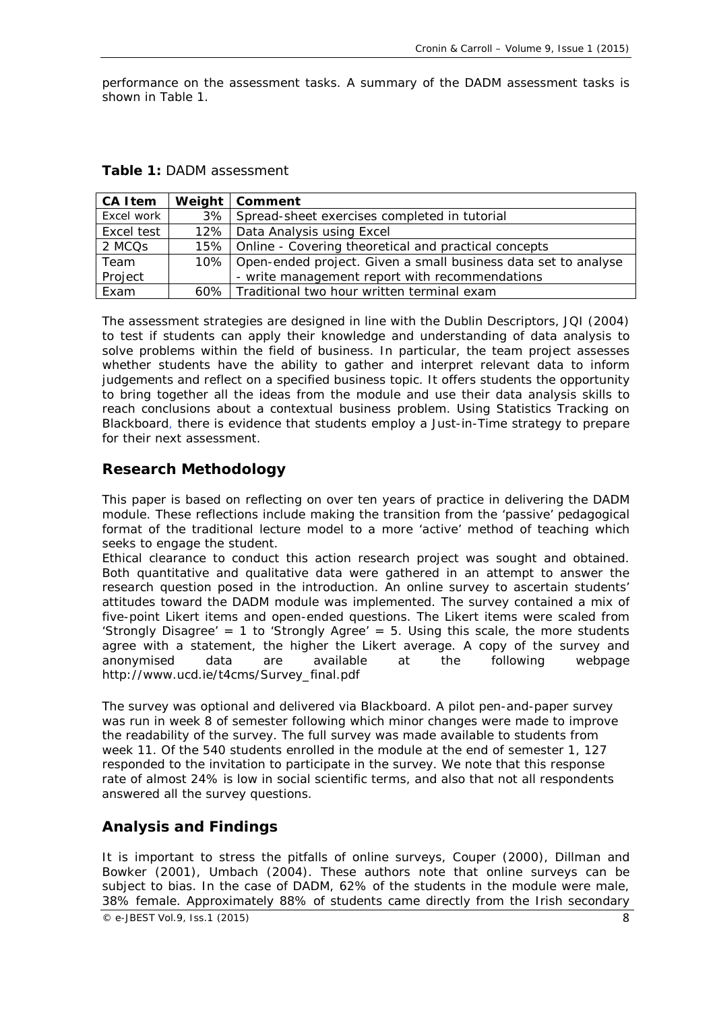performance on the assessment tasks. A summary of the DADM assessment tasks is shown in Table 1.

| <b>CA Item</b> | Weight   Comment                                                     |  |
|----------------|----------------------------------------------------------------------|--|
| Excel work     | 3% Spread-sheet exercises completed in tutorial                      |  |
| Excel test     | 12%   Data Analysis using Excel                                      |  |
| 2 MCQs         | 15%   Online - Covering theoretical and practical concepts           |  |
| Team           | 10%   Open-ended project. Given a small business data set to analyse |  |
| Project        | - write management report with recommendations                       |  |
| Exam           | 60% Traditional two hour written terminal exam                       |  |

**Table 1:** *DADM assessment*

The assessment strategies are designed in line with the Dublin Descriptors, JQI (2004) to test if students can apply their knowledge and understanding of data analysis to solve problems within the field of business. In particular, the team project assesses whether students have the ability to gather and interpret relevant data to inform judgements and reflect on a specified business topic. It offers students the opportunity to bring together all the ideas from the module and use their data analysis skills to reach conclusions about a contextual business problem. Using *Statistics Tracking* on Blackboard, there is evidence that students employ a *Just-in-Time* strategy to prepare for their next assessment.

## **Research Methodology**

This paper is based on reflecting on over ten years of practice in delivering the DADM module. These reflections include making the transition from the 'passive' pedagogical format of the traditional lecture model to a more 'active' method of teaching which seeks to engage the student.

Ethical clearance to conduct this action research project was sought and obtained. Both quantitative and qualitative data were gathered in an attempt to answer the research question posed in the introduction. An online survey to ascertain students' attitudes toward the DADM module was implemented. The survey contained a mix of five-point Likert items and open-ended questions. The Likert items were scaled from 'Strongly Disagree' = 1 to 'Strongly Agree' = 5. Using this scale, the more students agree with a statement, the higher the Likert average. A copy of the survey and anonymised data are available at the following webpage http://www.ucd.ie/t4cms/Survey\_final.pdf

The survey was optional and delivered via Blackboard. A pilot pen-and-paper survey was run in week 8 of semester following which minor changes were made to improve the readability of the survey. The full survey was made available to students from week 11. Of the 540 students enrolled in the module at the end of semester 1, 127 responded to the invitation to participate in the survey. We note that this response rate of almost 24% is low in social scientific terms, and also that not all respondents answered all the survey questions.

## **Analysis and Findings**

It is important to stress the pitfalls of online surveys, Couper (2000), Dillman and Bowker (2001), Umbach (2004). These authors note that online surveys can be subject to bias. In the case of DADM, 62% of the students in the module were male, 38% female. Approximately 88% of students came directly from the Irish secondary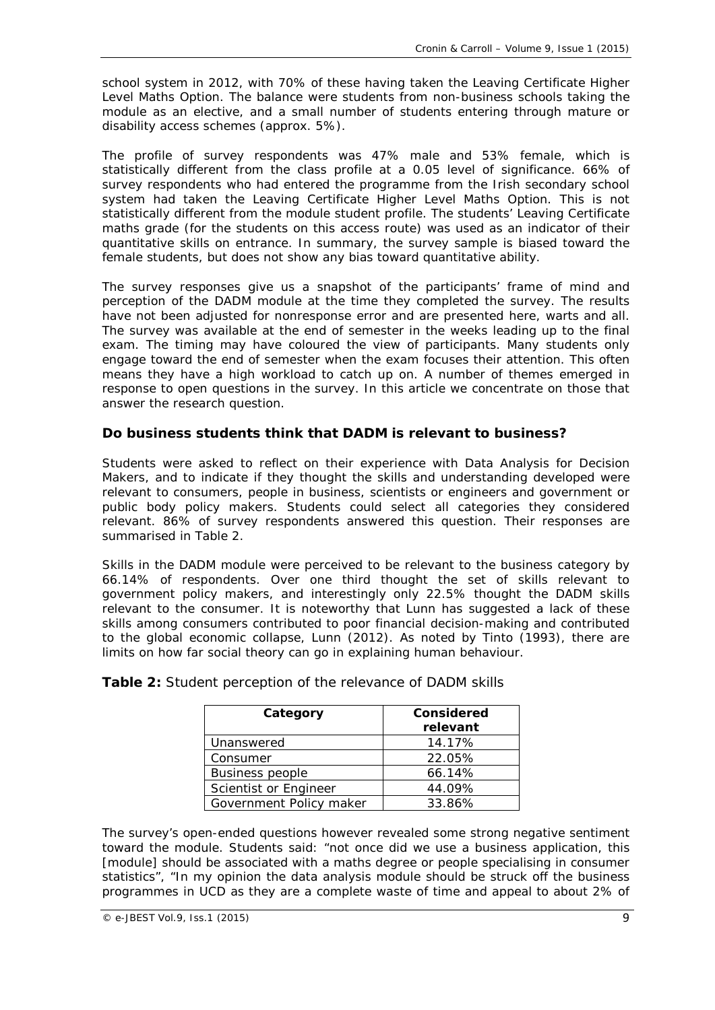school system in 2012, with 70% of these having taken the Leaving Certificate Higher Level Maths Option. The balance were students from non-business schools taking the module as an elective, and a small number of students entering through mature or disability access schemes (approx. 5%).

The profile of survey respondents was 47% male and 53% female, which is statistically different from the class profile at a 0.05 level of significance. 66% of survey respondents who had entered the programme from the Irish secondary school system had taken the Leaving Certificate Higher Level Maths Option. This is not statistically different from the module student profile. The students' Leaving Certificate maths grade (for the students on this access route) was used as an indicator of their quantitative skills on entrance. In summary, the survey sample is biased toward the female students, but does not show any bias toward quantitative ability.

The survey responses give us a snapshot of the participants' frame of mind and perception of the DADM module at the time they completed the survey. The results have not been adjusted for nonresponse error and are presented here, warts and all. The survey was available at the end of semester in the weeks leading up to the final exam. The timing may have coloured the view of participants. Many students only engage toward the end of semester when the exam focuses their attention. This often means they have a high workload to catch up on. A number of themes emerged in response to open questions in the survey. In this article we concentrate on those that answer the research question.

## *Do business students think that DADM is relevant to business?*

Students were asked to reflect on their experience with Data Analysis for Decision Makers, and to indicate if they thought the skills and understanding developed were relevant to consumers, people in business, scientists or engineers and government or public body policy makers. Students could select all categories they considered relevant. 86% of survey respondents answered this question. Their responses are summarised in Table 2.

Skills in the DADM module were perceived to be relevant to the business category by 66.14% of respondents. Over one third thought the set of skills relevant to government policy makers, and interestingly only 22.5% thought the DADM skills relevant to the consumer. It is noteworthy that Lunn has suggested a lack of these skills among consumers contributed to poor financial decision-making and contributed to the global economic collapse, Lunn (2012). As noted by Tinto (1993), there are limits on how far social theory can go in explaining human behaviour.

| Category                | Considered<br>relevant |  |
|-------------------------|------------------------|--|
| Unanswered              | 14.17%                 |  |
| Consumer                | 22.05%                 |  |
| <b>Business people</b>  | 66.14%                 |  |
| Scientist or Engineer   | 44.09%                 |  |
| Government Policy maker | 33.86%                 |  |

|  | Table 2: Student perception of the relevance of DADM skills |  |  |  |
|--|-------------------------------------------------------------|--|--|--|
|--|-------------------------------------------------------------|--|--|--|

The survey's open-ended questions however revealed some strong negative sentiment toward the module. Students said: "not once did we use a business application, this [module] should be associated with a maths degree or people specialising in consumer statistics", "In my opinion the data analysis module should be struck off the business programmes in UCD as they are a complete waste of time and appeal to about 2% of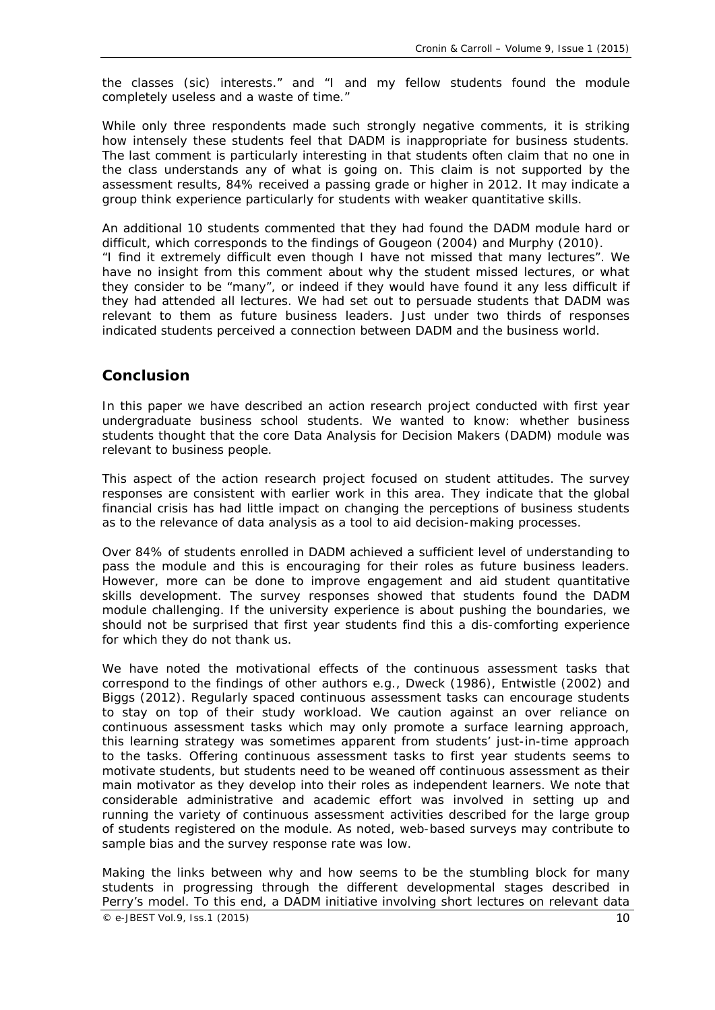the classes (sic) interests." and "I and my fellow students found the module completely useless and a waste of time."

While only three respondents made such strongly negative comments, it is striking how intensely these students feel that DADM is inappropriate for business students. The last comment is particularly interesting in that students often claim that no one in the class understands any of what is going on. This claim is not supported by the assessment results, 84% received a passing grade or higher in 2012. It may indicate a group think experience particularly for students with weaker quantitative skills.

An additional 10 students commented that they had found the DADM module hard or difficult, which corresponds to the findings of Gougeon (2004) and Murphy (2010). "I find it extremely difficult even though I have not missed that many lectures". We have no insight from this comment about why the student missed lectures, or what they consider to be "many", or indeed if they would have found it any less difficult if they had attended all lectures. We had set out to persuade students that DADM was relevant to them as future business leaders. Just under two thirds of responses indicated students perceived a connection between DADM and the business world.

## **Conclusion**

In this paper we have described an action research project conducted with first year undergraduate business school students. We wanted to know: whether business students thought that the core Data Analysis for Decision Makers (DADM) module was relevant to business people.

This aspect of the action research project focused on student attitudes. The survey responses are consistent with earlier work in this area. They indicate that the global financial crisis has had little impact on changing the perceptions of business students as to the relevance of data analysis as a tool to aid decision-making processes.

Over 84% of students enrolled in DADM achieved a sufficient level of understanding to pass the module and this is encouraging for their roles as future business leaders. However, more can be done to improve engagement and aid student quantitative skills development. The survey responses showed that students found the DADM module challenging. If the university experience is about pushing the boundaries, we should not be surprised that first year students find this a dis-comforting experience for which they do not thank us.

We have noted the motivational effects of the continuous assessment tasks that correspond to the findings of other authors e.g., Dweck (1986), Entwistle (2002) and Biggs (2012). Regularly spaced continuous assessment tasks can encourage students to stay on top of their study workload. We caution against an over reliance on continuous assessment tasks which may only promote a surface learning approach, this learning strategy was sometimes apparent from students' just-in-time approach to the tasks. Offering continuous assessment tasks to first year students seems to motivate students, but students need to be weaned off continuous assessment as their main motivator as they develop into their roles as independent learners. We note that considerable administrative and academic effort was involved in setting up and running the variety of continuous assessment activities described for the large group of students registered on the module. As noted, web-based surveys may contribute to sample bias and the survey response rate was low.

 $\degree$  e-JBEST Vol.9, Iss.1 (2015) 10 Making the links between *why* and *how* seems to be the stumbling block for many students in progressing through the different developmental stages described in Perry's model. To this end, a DADM initiative involving short lectures on relevant data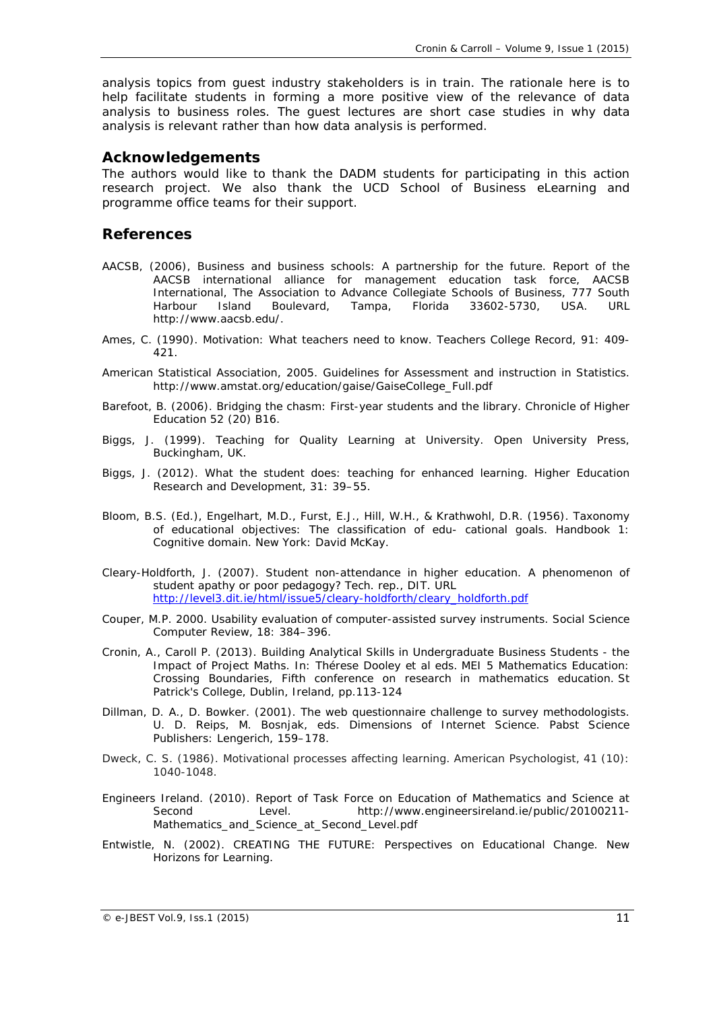analysis topics from guest industry stakeholders is in train. The rationale here is to help facilitate students in forming a more positive view of the relevance of data analysis to business roles. The guest lectures are short case studies in *why* data analysis is relevant rather than *how* data analysis is performed.

## **Acknowledgements**

The authors would like to thank the DADM students for participating in this action research project. We also thank the UCD School of Business eLearning and programme office teams for their support.

### **References**

- AACSB, (2006), Business and business schools: A partnership for the future. Report of the AACSB international alliance for management education task force, AACSB International, The Association to Advance Collegiate Schools of Business, 777 South Harbour Island Boulevard, Tampa, Florida 33602-5730, USA. URL http://www.aacsb.edu/.
- Ames, C. (1990). Motivation: What teachers need to know. *Teachers College Record,* 91: 409- 421.
- American Statistical Association, 2005. Guidelines for Assessment and instruction in Statistics. http://www.amstat.org/education/gaise/GaiseCollege\_Full.pdf
- Barefoot, B. (2006). Bridging the chasm: First-year students and the library. *Chronicle of Higher Education* 52 (20) B16.
- Biggs, J. (1999). *Teaching for Quality Learning at University*. Open University Press, Buckingham, UK.
- Biggs, J. (2012). What the student does: teaching for enhanced learning. *Higher Education Research and Development,* 31: 39–55.
- Bloom, B.S. (Ed.), Engelhart, M.D., Furst, E.J., Hill, W.H., & Krathwohl, D.R. (1956). *Taxonomy of educational objectives: The classification of edu- cational goals. Handbook 1: Cognitive domain.* New York: David McKay.
- Cleary-Holdforth, J. (2007). Student non-attendance in higher education. A phenomenon of student apathy or poor pedagogy? Tech. rep., DIT. URL [http://level3.dit.ie/html/issue5/cleary-holdforth/cleary\\_holdforth.pdf](http://level3.dit.ie/html/issue5/cleary-holdforth/cleary_holdforth.pdf)
- Couper, M.P. 2000. Usability evaluation of computer-assisted survey instruments. *Social Science Computer Review,* 18: 384–396.
- Cronin, A., Caroll P. (2013). Building Analytical Skills in Undergraduate Business Students the Impact of Project Maths. In: Thérese Dooley et al eds. *MEI 5 Mathematics Education: Crossing Boundaries, Fifth conference on research in mathematics education.* St Patrick's College, Dublin, Ireland, pp.113-124
- Dillman, D. A., D. Bowker. (2001). The web questionnaire challenge to survey methodologists. U. D. Reips, M. Bosnjak, eds. *Dimensions of Internet Science*. Pabst Science Publishers: Lengerich, 159–178.
- Dweck, C. S. (1986). Motivational processes affecting learning. *American Psychologist,* 41 (10): 1040-1048.
- Engineers Ireland. (2010). Report of Task Force on Education of Mathematics and Science at Second Level. http://www.engineersireland.ie/public/20100211- Mathematics\_and\_Science\_at\_Second\_Level.pdf
- Entwistle, N. (2002). *CREATING THE FUTURE: Perspectives on Educational Change*. New Horizons for Learning.

 $\degree$  e-JBEST Vol.9, Iss.1 (2015) 11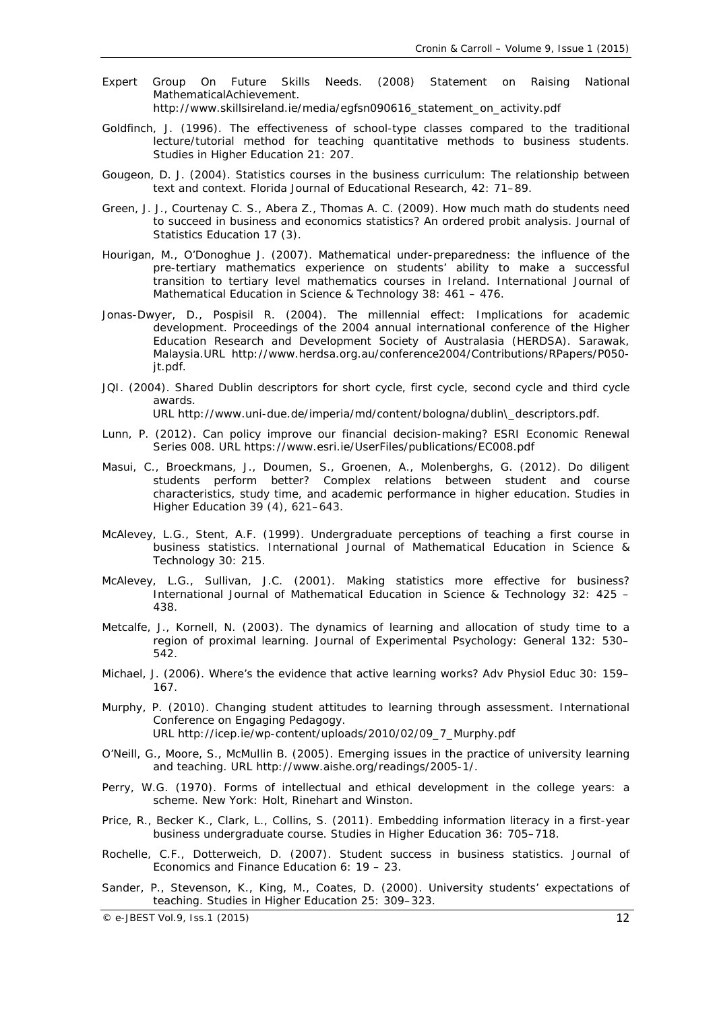- Expert Group On Future Skills Needs. (2008) Statement on Raising National MathematicalAchievement. http://www.skillsireland.ie/media/egfsn090616\_statement\_on\_activity.pdf
- Goldfinch, J. (1996). The effectiveness of school-type classes compared to the traditional lecture/tutorial method for teaching quantitative methods to business students. *Studies in Higher Education* 21: 207.
- Gougeon, D. J. (2004). Statistics courses in the business curriculum: The relationship between text and context. *Florida Journal of Educational Research,* 42: 71–89.
- Green, J. J., Courtenay C. S., Abera Z., Thomas A. C. (2009). How much math do students need to succeed in business and economics statistics? An ordered probit analysis. *Journal of Statistics Education* 17 (3).
- Hourigan, M., O'Donoghue J. (2007). Mathematical under-preparedness: the influence of the pre-tertiary mathematics experience on students' ability to make a successful transition to tertiary level mathematics courses in Ireland. *International Journal of Mathematical Education in Science & Technology* 38: 461 – 476.
- Jonas-Dwyer, D., Pospisil R. (2004). The millennial effect: Implications for academic development. *Proceedings of the 2004 annual international conference of the Higher Education Research and Development Society of Australasia (HERDSA)*. Sarawak, Malaysia.URL http://www.herdsa.org.au/conference2004/Contributions/RPapers/P050 jt.pdf.
- JQI. (2004). Shared Dublin descriptors for short cycle, first cycle, second cycle and third cycle awards.

URL http://www.uni-due.de/imperia/md/content/bologna/dublin\\_descriptors.pdf.

- Lunn, P. (2012). Can policy improve our financial decision-making? *ESRI Economic Renewal Series 00*8. URL https://www.esri.ie/UserFiles/publications/EC008.pdf
- Masui, C., Broeckmans, J., Doumen, S., Groenen, A., Molenberghs, G. (2012). Do diligent students perform better? Complex relations between student and course characteristics, study time, and academic performance in higher education. *Studies in Higher Education* 39 (4), 621–643.
- McAlevey, L.G., Stent, A.F. (1999). Undergraduate perceptions of teaching a first course in business statistics. *International Journal of Mathematical Education in Science & Technology* 30: 215.
- McAlevey, L.G., Sullivan, J.C. (2001). Making statistics more effective for business? *International Journal of Mathematical Education in Science & Technology* 32: 425 – 438.
- Metcalfe, J., Kornell, N. (2003). The dynamics of learning and allocation of study time to a region of proximal learning. *Journal of Experimental Psychology: General* 132: 530– 542.
- Michael, J. (2006). Where's the evidence that active learning works? *Adv Physiol Educ* 30: 159– 167.
- Murphy, P. (2010). Changing student attitudes to learning through assessment. *International Conference on Engaging Pedagogy*. URL http://icep.ie/wp-content/uploads/2010/02/09\_7\_Murphy.pdf
- O'Neill, G., Moore, S., McMullin B. (2005). Emerging issues in the practice of university learning and teaching. URL http://www.aishe.org/readings/2005-1/.
- Perry, W.G. (1970). *Forms of intellectual and ethical development in the college years: a scheme*. New York: Holt, Rinehart and Winston.
- Price, R., Becker K., Clark, L., Collins, S. (2011). Embedding information literacy in a first-year business undergraduate course. *Studies in Higher Education* 36: 705–718.
- Rochelle, C.F., Dotterweich, D. (2007). Student success in business statistics. *Journal of Economics and Finance Education* 6: 19 – 23.
- Sander, P., Stevenson, K., King, M., Coates, D. (2000). University students' expectations of teaching. *Studies in Higher Education* 25: 309–323.

 $\degree$  e-JBEST Vol.9, Iss.1 (2015) 12